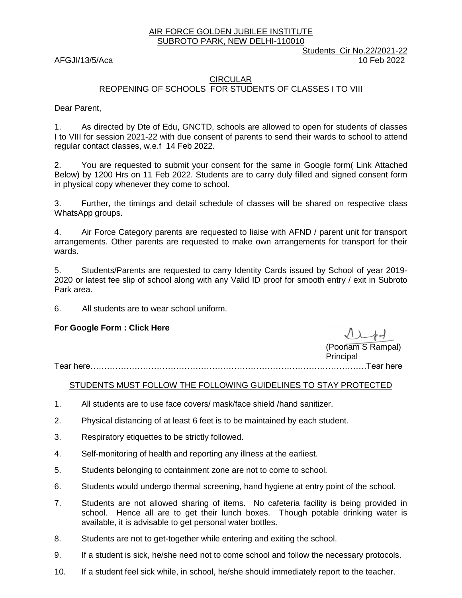#### AIR FORCE GOLDEN JUBILEE INSTITUTE SUBROTO PARK, NEW DELHI-110010

Students Cir No.22/2021-22 AFGJI/13/5/Aca 10 Feb 2022

#### CIRCULAR REOPENING OF SCHOOLS FOR STUDENTS OF CLASSES I TO VIII

Dear Parent,

1. As directed by Dte of Edu, GNCTD, schools are allowed to open for students of classes I to VIII for session 2021-22 with due consent of parents to send their wards to school to attend regular contact classes, w.e.f 14 Feb 2022.

2. You are requested to submit your consent for the same in Google form( Link Attached Below) by 1200 Hrs on 11 Feb 2022. Students are to carry duly filled and signed consent form in physical copy whenever they come to school.

3. Further, the timings and detail schedule of classes will be shared on respective class WhatsApp groups.

4. Air Force Category parents are requested to liaise with AFND / parent unit for transport arrangements. Other parents are requested to make own arrangements for transport for their wards.

5. Students/Parents are requested to carry Identity Cards issued by School of year 2019- 2020 or latest fee slip of school along with any Valid ID proof for smooth entry / exit in Subroto Park area.

6. All students are to wear school uniform.

### **For Google Form : [Click Here](https://docs.google.com/forms/d/e/1FAIpQLSdl3cVmUlNG3FFl2lTGtBlG0-pVrVvs6Ip5E4eoJF31guQhwg/viewform)**

(Poonam S Rampal) Principal

Tear here……………………………………………………………………………………….Tear here

### STUDENTS MUST FOLLOW THE FOLLOWING GUIDELINES TO STAY PROTECTED

- 1. All students are to use face covers/ mask/face shield /hand sanitizer.
- 2. Physical distancing of at least 6 feet is to be maintained by each student.
- 3. Respiratory etiquettes to be strictly followed.
- 4. Self-monitoring of health and reporting any illness at the earliest.
- 5. Students belonging to containment zone are not to come to school.
- 6. Students would undergo thermal screening, hand hygiene at entry point of the school.
- 7. Students are not allowed sharing of items. No cafeteria facility is being provided in school. Hence all are to get their lunch boxes. Though potable drinking water is available, it is advisable to get personal water bottles.
- 8. Students are not to get-together while entering and exiting the school.
- 9. If a student is sick, he/she need not to come school and follow the necessary protocols.
- 10. If a student feel sick while, in school, he/she should immediately report to the teacher.